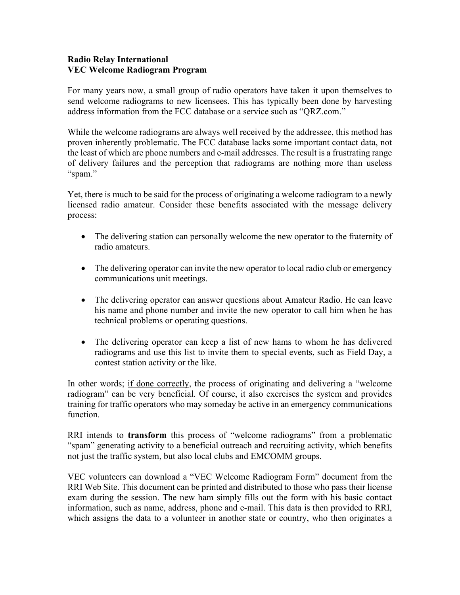## **Radio Relay International VEC Welcome Radiogram Program**

For many years now, a small group of radio operators have taken it upon themselves to send welcome radiograms to new licensees. This has typically been done by harvesting address information from the FCC database or a service such as "QRZ.com."

While the welcome radiograms are always well received by the addressee, this method has proven inherently problematic. The FCC database lacks some important contact data, not the least of which are phone numbers and e-mail addresses. The result is a frustrating range of delivery failures and the perception that radiograms are nothing more than useless "spam."

Yet, there is much to be said for the process of originating a welcome radiogram to a newly licensed radio amateur. Consider these benefits associated with the message delivery process:

- The delivering station can personally welcome the new operator to the fraternity of radio amateurs.
- The delivering operator can invite the new operator to local radio club or emergency communications unit meetings.
- The delivering operator can answer questions about Amateur Radio. He can leave his name and phone number and invite the new operator to call him when he has technical problems or operating questions.
- The delivering operator can keep a list of new hams to whom he has delivered radiograms and use this list to invite them to special events, such as Field Day, a contest station activity or the like.

In other words; if done correctly, the process of originating and delivering a "welcome" radiogram" can be very beneficial. Of course, it also exercises the system and provides training for traffic operators who may someday be active in an emergency communications function.

RRI intends to **transform** this process of "welcome radiograms" from a problematic "spam" generating activity to a beneficial outreach and recruiting activity, which benefits not just the traffic system, but also local clubs and EMCOMM groups.

VEC volunteers can download a "VEC Welcome Radiogram Form" document from the RRI Web Site. This document can be printed and distributed to those who pass their license exam during the session. The new ham simply fills out the form with his basic contact information, such as name, address, phone and e-mail. This data is then provided to RRI, which assigns the data to a volunteer in another state or country, who then originates a